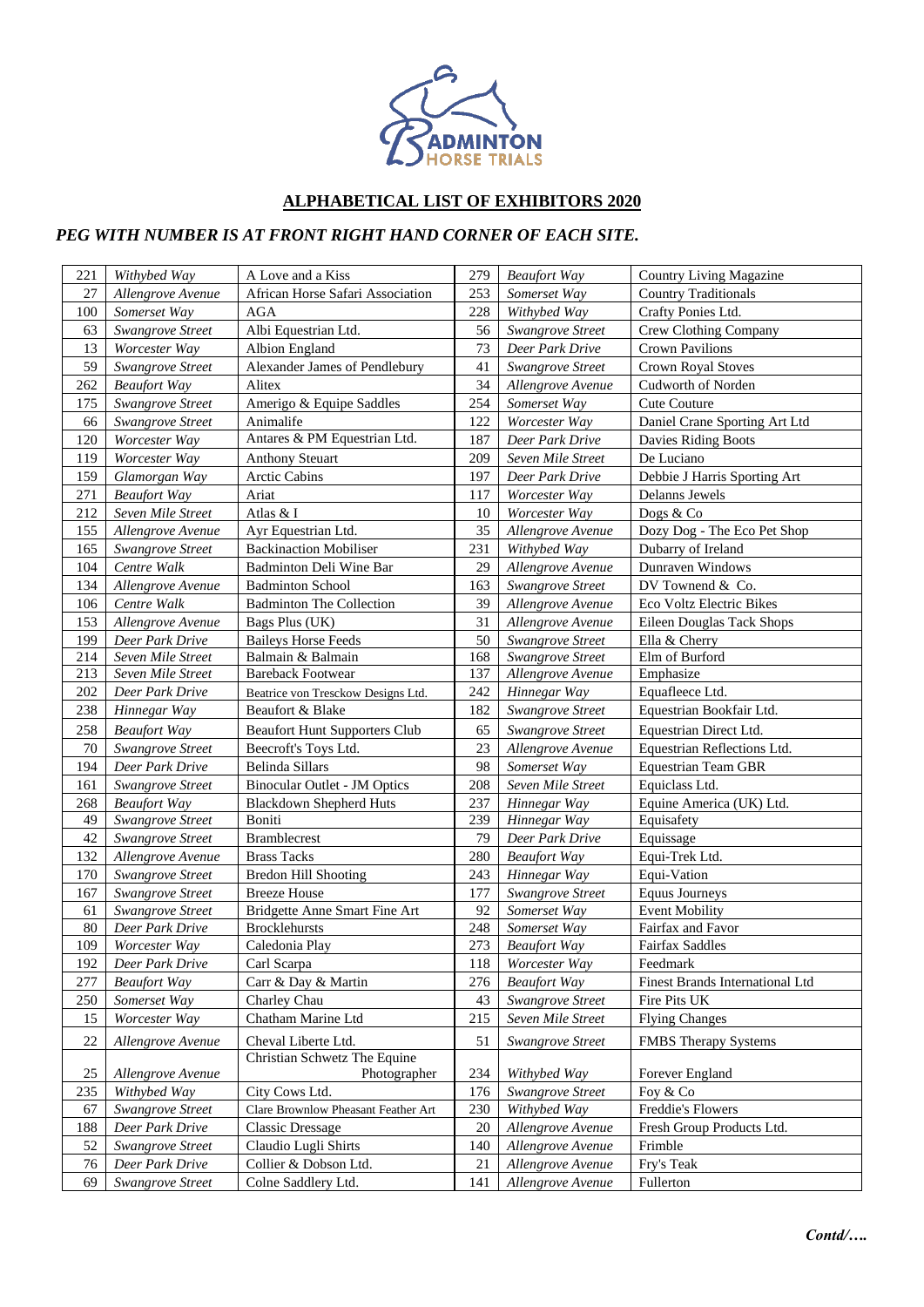

## **ALPHABETICAL LIST OF EXHIBITORS 2020**

## *PEG WITH NUMBER IS AT FRONT RIGHT HAND CORNER OF EACH SITE.*

| 221 | Withybed Way        | A Love and a Kiss                            | 279 | <b>Beaufort Way</b>     | <b>Country Living Magazine</b>  |
|-----|---------------------|----------------------------------------------|-----|-------------------------|---------------------------------|
| 27  | Allengrove Avenue   | African Horse Safari Association             | 253 | Somerset Way            | <b>Country Traditionals</b>     |
| 100 | Somerset Way        | <b>AGA</b>                                   | 228 | Withybed Way            | Crafty Ponies Ltd.              |
| 63  | Swangrove Street    | Albi Equestrian Ltd.                         | 56  | <b>Swangrove Street</b> | Crew Clothing Company           |
| 13  | Worcester Way       | Albion England                               | 73  | Deer Park Drive         | Crown Pavilions                 |
| 59  | Swangrove Street    | Alexander James of Pendlebury                | 41  | <b>Swangrove Street</b> | <b>Crown Royal Stoves</b>       |
| 262 | <b>Beaufort Way</b> | Alitex                                       | 34  | Allengrove Avenue       | Cudworth of Norden              |
| 175 | Swangrove Street    | Amerigo & Equipe Saddles                     | 254 | Somerset Way            | <b>Cute Couture</b>             |
| 66  | Swangrove Street    | Animalife                                    | 122 | Worcester Way           | Daniel Crane Sporting Art Ltd   |
| 120 | Worcester Way       | Antares & PM Equestrian Ltd.                 | 187 | Deer Park Drive         | Davies Riding Boots             |
| 119 | Worcester Way       | <b>Anthony Steuart</b>                       | 209 | Seven Mile Street       | De Luciano                      |
| 159 | Glamorgan Way       | Arctic Cabins                                | 197 | Deer Park Drive         | Debbie J Harris Sporting Art    |
| 271 | <b>Beaufort Way</b> | Ariat                                        | 117 | Worcester Way           | Delanns Jewels                  |
| 212 | Seven Mile Street   | Atlas & I                                    | 10  | Worcester Way           | Dogs & Co                       |
| 155 | Allengrove Avenue   | Ayr Equestrian Ltd.                          | 35  | Allengrove Avenue       | Dozy Dog - The Eco Pet Shop     |
| 165 | Swangrove Street    | <b>Backinaction Mobiliser</b>                | 231 | Withybed Way            | Dubarry of Ireland              |
| 104 | Centre Walk         | Badminton Deli Wine Bar                      | 29  | Allengrove Avenue       | Dunraven Windows                |
| 134 | Allengrove Avenue   | <b>Badminton School</b>                      | 163 | <b>Swangrove Street</b> | DV Townend & Co.                |
| 106 | Centre Walk         | <b>Badminton The Collection</b>              | 39  | Allengrove Avenue       | Eco Voltz Electric Bikes        |
| 153 | Allengrove Avenue   | Bags Plus (UK)                               | 31  | Allengrove Avenue       | Eileen Douglas Tack Shops       |
| 199 | Deer Park Drive     | <b>Baileys Horse Feeds</b>                   | 50  | Swangrove Street        | Ella & Cherry                   |
| 214 | Seven Mile Street   | Balmain & Balmain                            | 168 | Swangrove Street        | Elm of Burford                  |
| 213 | Seven Mile Street   | <b>Bareback Footwear</b>                     | 137 | Allengrove Avenue       | Emphasize                       |
| 202 | Deer Park Drive     | Beatrice von Tresckow Designs Ltd.           | 242 | Hinnegar Way            | Equafleece Ltd.                 |
| 238 | Hinnegar Way        | Beaufort & Blake                             | 182 | <b>Swangrove Street</b> | Equestrian Bookfair Ltd.        |
| 258 | <b>Beaufort Way</b> | <b>Beaufort Hunt Supporters Club</b>         | 65  | <b>Swangrove Street</b> | Equestrian Direct Ltd.          |
| 70  | Swangrove Street    | Beecroft's Toys Ltd.                         | 23  | Allengrove Avenue       | Equestrian Reflections Ltd.     |
| 194 | Deer Park Drive     | Belinda Sillars                              | 98  | Somerset Way            | <b>Equestrian Team GBR</b>      |
| 161 | Swangrove Street    | <b>Binocular Outlet - JM Optics</b>          | 208 | Seven Mile Street       | Equiclass Ltd.                  |
| 268 | <b>Beaufort Way</b> | <b>Blackdown Shepherd Huts</b>               | 237 | Hinnegar Way            | Equine America (UK) Ltd.        |
| 49  | Swangrove Street    | Boniti                                       | 239 | Hinnegar Way            | Equisafety                      |
| 42  | Swangrove Street    | <b>Bramblecrest</b>                          | 79  | Deer Park Drive         | Equissage                       |
| 132 | Allengrove Avenue   | <b>Brass Tacks</b>                           | 280 | <b>Beaufort Way</b>     | Equi-Trek Ltd.                  |
| 170 | Swangrove Street    | <b>Bredon Hill Shooting</b>                  | 243 | Hinnegar Way            | Equi-Vation                     |
| 167 | Swangrove Street    | <b>Breeze House</b>                          | 177 | Swangrove Street        | <b>Equus Journeys</b>           |
| 61  | Swangrove Street    | Bridgette Anne Smart Fine Art                | 92  | Somerset Way            | <b>Event Mobility</b>           |
| 80  | Deer Park Drive     | <b>Brocklehursts</b>                         | 248 | Somerset Way            | Fairfax and Favor               |
| 109 | Worcester Way       | Caledonia Play                               | 273 | <b>Beaufort Way</b>     | <b>Fairfax Saddles</b>          |
| 192 | Deer Park Drive     | Carl Scarpa                                  | 118 | Worcester Way           | Feedmark                        |
| 277 | <b>Beaufort Way</b> | Carr & Day & Martin                          | 276 | <b>Beaufort Way</b>     | Finest Brands International Ltd |
| 250 | Somerset Way        | Charley Chau                                 | 43  | Swangrove Street        | Fire Pits UK                    |
| 15  | Worcester Way       | Chatham Marine Ltd                           | 215 | Seven Mile Street       | <b>Flying Changes</b>           |
| 22  | Allengrove Avenue   | Cheval Liberte Ltd.                          | 51  | Swangrove Street        | <b>FMBS</b> Therapy Systems     |
| 25  | Allengrove Avenue   | Christian Schwetz The Equine<br>Photographer | 234 | Withybed Way            | Forever England                 |
| 235 | Withybed Way        | City Cows Ltd.                               | 176 | Swangrove Street        | Foy & Co                        |
| 67  | Swangrove Street    | Clare Brownlow Pheasant Feather Art          | 230 | Withybed Way            | Freddie's Flowers               |
| 188 | Deer Park Drive     | <b>Classic Dressage</b>                      | 20  | Allengrove Avenue       | Fresh Group Products Ltd.       |
| 52  | Swangrove Street    | Claudio Lugli Shirts                         | 140 | Allengrove Avenue       | Frimble                         |
| 76  | Deer Park Drive     | Collier & Dobson Ltd.                        | 21  | Allengrove Avenue       | Fry's Teak                      |
| 69  | Swangrove Street    | Colne Saddlery Ltd.                          | 141 | Allengrove Avenue       | Fullerton                       |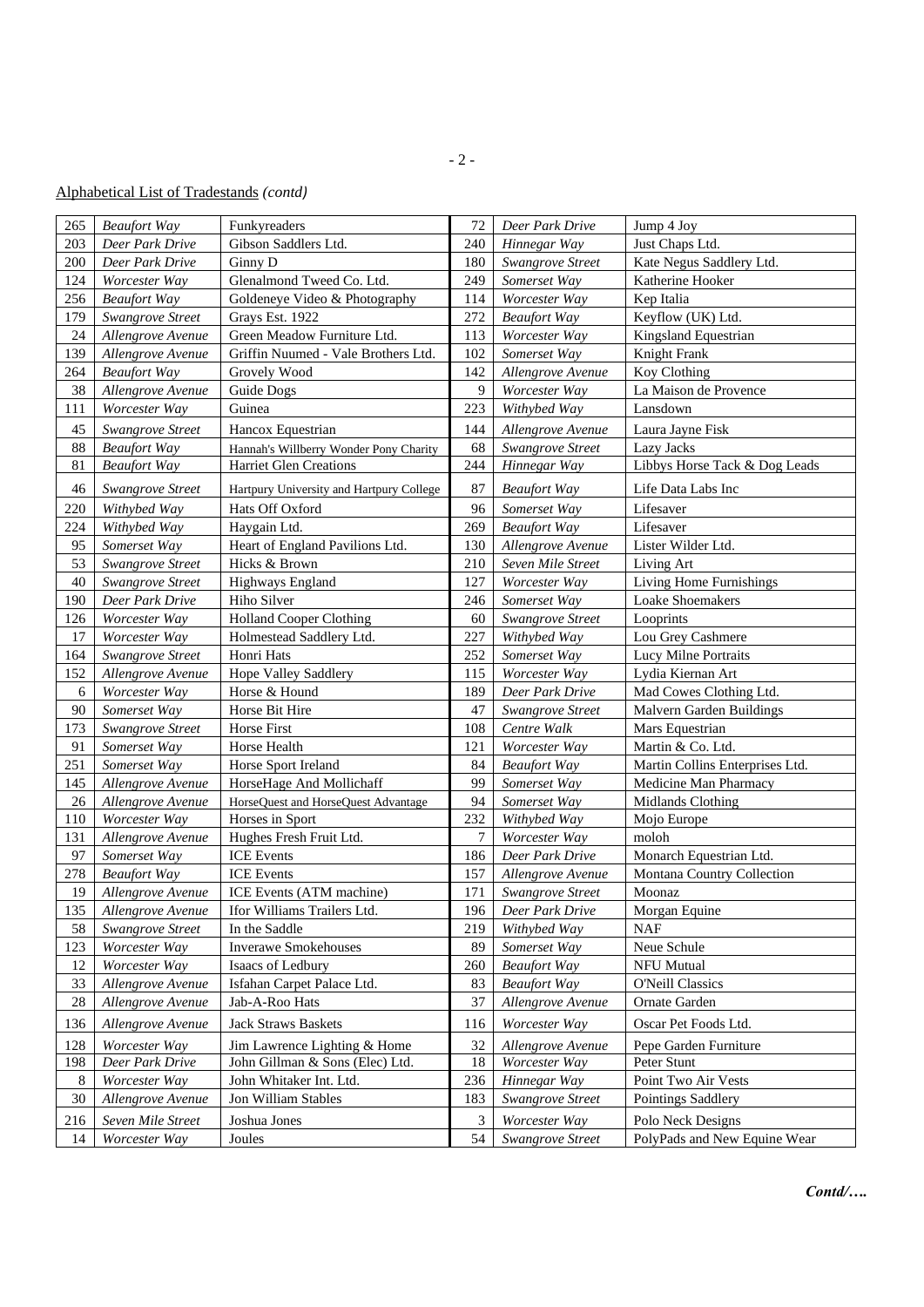## Alphabetical List of Tradestands *(contd)*

| 265 | <b>Beaufort Way</b> | Funkyreaders                             | 72  | Deer Park Drive     | Jump 4 Joy                      |
|-----|---------------------|------------------------------------------|-----|---------------------|---------------------------------|
| 203 | Deer Park Drive     | Gibson Saddlers Ltd.                     | 240 | Hinnegar Way        | Just Chaps Ltd.                 |
| 200 | Deer Park Drive     | Ginny D                                  | 180 | Swangrove Street    | Kate Negus Saddlery Ltd.        |
| 124 | Worcester Way       | Glenalmond Tweed Co. Ltd.                | 249 | Somerset Way        | Katherine Hooker                |
| 256 | <b>Beaufort Way</b> | Goldeneye Video & Photography            | 114 | Worcester Way       | Kep Italia                      |
| 179 | Swangrove Street    | Grays Est. 1922                          | 272 | <b>Beaufort Way</b> | Keyflow (UK) Ltd.               |
| 24  | Allengrove Avenue   | Green Meadow Furniture Ltd.              | 113 | Worcester Way       | Kingsland Equestrian            |
| 139 | Allengrove Avenue   | Griffin Nuumed - Vale Brothers Ltd.      | 102 | Somerset Way        | Knight Frank                    |
| 264 | <b>Beaufort Way</b> | Grovely Wood                             | 142 | Allengrove Avenue   | Koy Clothing                    |
| 38  | Allengrove Avenue   | Guide Dogs                               | 9   | Worcester Way       | La Maison de Provence           |
| 111 | Worcester Way       | Guinea                                   | 223 | Withybed Way        | Lansdown                        |
| 45  | Swangrove Street    | Hancox Equestrian                        | 144 | Allengrove Avenue   | Laura Jayne Fisk                |
| 88  | <b>Beaufort Way</b> | Hannah's Willberry Wonder Pony Charity   | 68  | Swangrove Street    | Lazy Jacks                      |
| 81  | <b>Beaufort Way</b> | <b>Harriet Glen Creations</b>            | 244 | Hinnegar Way        | Libbys Horse Tack & Dog Leads   |
| 46  | Swangrove Street    | Hartpury University and Hartpury College | 87  | <b>Beaufort Way</b> | Life Data Labs Inc              |
| 220 | Withybed Way        | Hats Off Oxford                          | 96  | Somerset Way        | Lifesaver                       |
| 224 | Withybed Way        | Haygain Ltd.                             | 269 | <b>Beaufort Way</b> | Lifesaver                       |
| 95  | Somerset Way        | Heart of England Pavilions Ltd.          | 130 | Allengrove Avenue   | Lister Wilder Ltd.              |
| 53  | Swangrove Street    | Hicks & Brown                            | 210 | Seven Mile Street   | Living Art                      |
| 40  | Swangrove Street    | <b>Highways England</b>                  | 127 | Worcester Way       | Living Home Furnishings         |
| 190 | Deer Park Drive     | Hiho Silver                              | 246 | Somerset Way        | Loake Shoemakers                |
| 126 | Worcester Way       | <b>Holland Cooper Clothing</b>           | 60  | Swangrove Street    | Looprints                       |
| 17  | Worcester Way       | Holmestead Saddlery Ltd.                 | 227 | Withybed Way        | Lou Grey Cashmere               |
| 164 | Swangrove Street    | Honri Hats                               | 252 | Somerset Way        | Lucy Milne Portraits            |
| 152 | Allengrove Avenue   | Hope Valley Saddlery                     | 115 | Worcester Way       | Lydia Kiernan Art               |
| 6   | Worcester Way       | Horse & Hound                            | 189 | Deer Park Drive     | Mad Cowes Clothing Ltd.         |
| 90  | Somerset Way        | Horse Bit Hire                           | 47  | Swangrove Street    | Malvern Garden Buildings        |
| 173 | Swangrove Street    | Horse First                              | 108 | Centre Walk         | Mars Equestrian                 |
| 91  | Somerset Way        | Horse Health                             | 121 | Worcester Way       | Martin & Co. Ltd.               |
| 251 | Somerset Way        | Horse Sport Ireland                      | 84  | <b>Beaufort Way</b> | Martin Collins Enterprises Ltd. |
| 145 | Allengrove Avenue   | HorseHage And Mollichaff                 | 99  | Somerset Way        | Medicine Man Pharmacy           |
| 26  | Allengrove Avenue   | HorseQuest and HorseQuest Advantage      | 94  | Somerset Way        | Midlands Clothing               |
| 110 | Worcester Way       | Horses in Sport                          | 232 | Withybed Way        | Mojo Europe                     |
| 131 | Allengrove Avenue   | Hughes Fresh Fruit Ltd.                  | 7   | Worcester Way       | moloh                           |
| 97  | Somerset Way        | <b>ICE</b> Events                        | 186 | Deer Park Drive     | Monarch Equestrian Ltd.         |
| 278 | <b>Beaufort Way</b> | <b>ICE</b> Events                        | 157 | Allengrove Avenue   | Montana Country Collection      |
| 19  | Allengrove Avenue   | ICE Events (ATM machine)                 | 171 | Swangrove Street    | Moonaz                          |
| 135 | Allengrove Avenue   | Ifor Williams Trailers Ltd.              | 196 | Deer Park Drive     | Morgan Equine                   |
| 58  | Swangrove Street    | In the Saddle                            | 219 | Withybed Way        | <b>NAF</b>                      |
| 123 | Worcester Way       | <b>Inverawe Smokehouses</b>              | 89  | Somerset Way        | Neue Schule                     |
| 12  | Worcester Way       | Isaacs of Ledbury                        | 260 | <b>Beaufort Way</b> | NFU Mutual                      |
| 33  | Allengrove Avenue   | Isfahan Carpet Palace Ltd.               | 83  | <b>Beaufort Way</b> | <b>O'Neill Classics</b>         |
| 28  | Allengrove Avenue   | Jab-A-Roo Hats                           | 37  | Allengrove Avenue   | Ornate Garden                   |
| 136 | Allengrove Avenue   | Jack Straws Baskets                      | 116 | Worcester Way       | Oscar Pet Foods Ltd.            |
| 128 | Worcester Way       | Jim Lawrence Lighting & Home             | 32  | Allengrove Avenue   | Pepe Garden Furniture           |
| 198 | Deer Park Drive     | John Gillman & Sons (Elec) Ltd.          | 18  | Worcester Way       | Peter Stunt                     |
| 8   | Worcester Way       | John Whitaker Int. Ltd.                  | 236 | Hinnegar Way        | Point Two Air Vests             |
| 30  | Allengrove Avenue   | Jon William Stables                      | 183 | Swangrove Street    | Pointings Saddlery              |
| 216 | Seven Mile Street   | Joshua Jones                             | 3   | Worcester Way       | Polo Neck Designs               |
| 14  | Worcester Way       | Joules                                   | 54  | Swangrove Street    | PolyPads and New Equine Wear    |
|     |                     |                                          |     |                     |                                 |